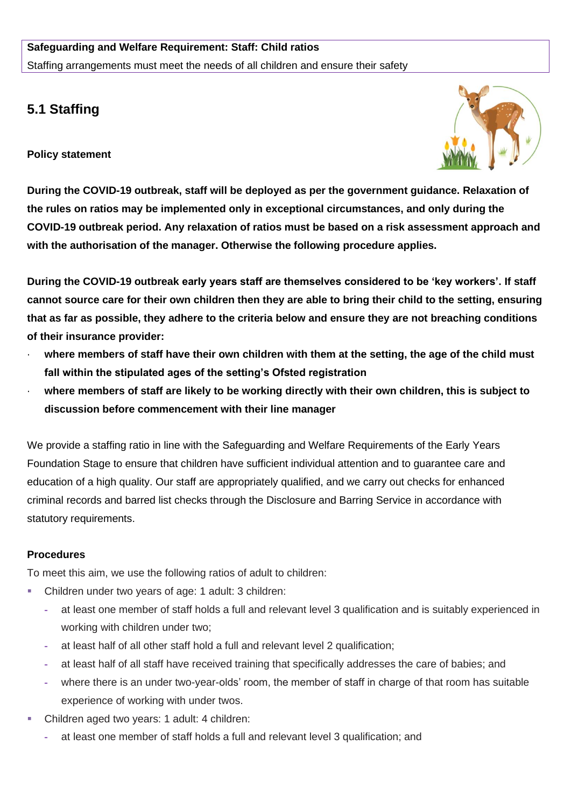## **Safeguarding and Welfare Requirement: Staff: Child ratios** Staffing arrangements must meet the needs of all children and ensure their safety

## **5.1 Staffing**

**Policy statement**



**During the COVID-19 outbreak, staff will be deployed as per the government guidance. Relaxation of the rules on ratios may be implemented only in exceptional circumstances, and only during the COVID-19 outbreak period. Any relaxation of ratios must be based on a risk assessment approach and with the authorisation of the manager. Otherwise the following procedure applies.**

**During the COVID-19 outbreak early years staff are themselves considered to be 'key workers'. If staff cannot source care for their own children then they are able to bring their child to the setting, ensuring that as far as possible, they adhere to the criteria below and ensure they are not breaching conditions of their insurance provider:** 

- where members of staff have their own children with them at the setting, the age of the child must **fall within the stipulated ages of the setting's Ofsted registration**
- where members of staff are likely to be working directly with their own children, this is subject to **discussion before commencement with their line manager**

We provide a staffing ratio in line with the Safeguarding and Welfare Requirements of the Early Years Foundation Stage to ensure that children have sufficient individual attention and to guarantee care and education of a high quality. Our staff are appropriately qualified, and we carry out checks for enhanced criminal records and barred list checks through the Disclosure and Barring Service in accordance with statutory requirements.

## **Procedures**

To meet this aim, we use the following ratios of adult to children:

- Children under two years of age: 1 adult: 3 children:
	- **-** at least one member of staff holds a full and relevant level 3 qualification and is suitably experienced in working with children under two;
	- **-** at least half of all other staff hold a full and relevant level 2 qualification;
	- **-** at least half of all staff have received training that specifically addresses the care of babies; and
	- **-** where there is an under two-year-olds' room, the member of staff in charge of that room has suitable experience of working with under twos.
- Children aged two years: 1 adult: 4 children:
	- **-** at least one member of staff holds a full and relevant level 3 qualification; and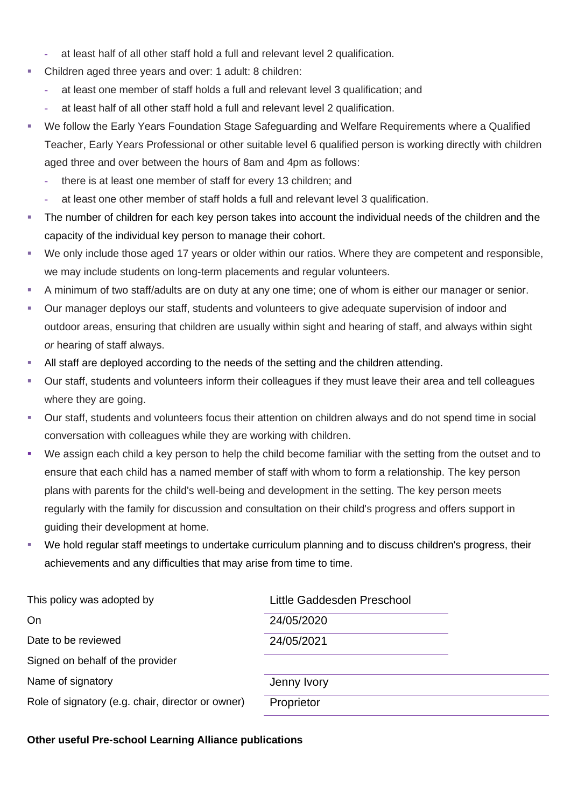- **-** at least half of all other staff hold a full and relevant level 2 qualification.
- Children aged three years and over: 1 adult: 8 children:
	- **-** at least one member of staff holds a full and relevant level 3 qualification; and
	- **-** at least half of all other staff hold a full and relevant level 2 qualification.
- We follow the Early Years Foundation Stage Safeguarding and Welfare Requirements where a Qualified Teacher, Early Years Professional or other suitable level 6 qualified person is working directly with children aged three and over between the hours of 8am and 4pm as follows:
	- **-** there is at least one member of staff for every 13 children; and
	- **-** at least one other member of staff holds a full and relevant level 3 qualification.
- The number of children for each key person takes into account the individual needs of the children and the capacity of the individual key person to manage their cohort.
- We only include those aged 17 years or older within our ratios. Where they are competent and responsible, we may include students on long-term placements and regular volunteers.
- A minimum of two staff/adults are on duty at any one time; one of whom is either our manager or senior.
- Our manager deploys our staff, students and volunteers to give adequate supervision of indoor and outdoor areas, ensuring that children are usually within sight and hearing of staff, and always within sight *or* hearing of staff always.
- All staff are deployed according to the needs of the setting and the children attending.
- Our staff, students and volunteers inform their colleagues if they must leave their area and tell colleagues where they are going.
- Our staff, students and volunteers focus their attention on children always and do not spend time in social conversation with colleagues while they are working with children.
- We assign each child a key person to help the child become familiar with the setting from the outset and to ensure that each child has a named member of staff with whom to form a relationship. The key person plans with parents for the child's well-being and development in the setting. The key person meets regularly with the family for discussion and consultation on their child's progress and offers support in guiding their development at home.
- We hold regular staff meetings to undertake curriculum planning and to discuss children's progress, their achievements and any difficulties that may arise from time to time.

| Little Gaddesden Preschool |  |
|----------------------------|--|
| 24/05/2020                 |  |
| 24/05/2021                 |  |
|                            |  |
| Jenny Ivory                |  |
| Proprietor                 |  |
|                            |  |

## **Other useful Pre-school Learning Alliance publications**